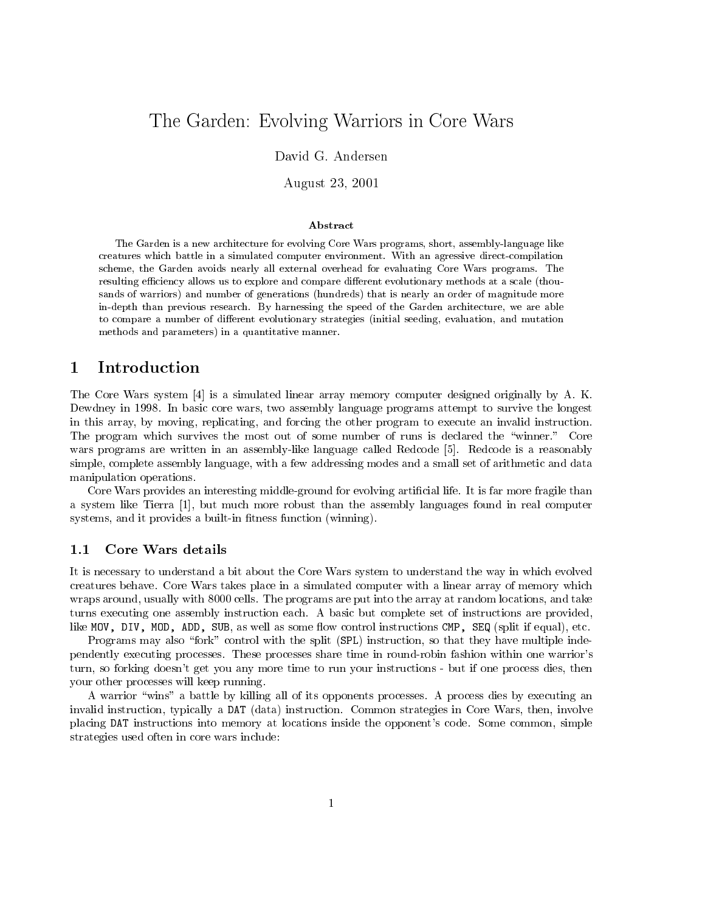# The Garden Core Evolving Warriors in Core Warship Core Warriors in Core Warriors in Core Warriors in Core Warr

# David G. Andersen

August 23, 2001

### Abstract

The Garden is a new architecture for evolving Core Wars programs, short, assembly-language likecreatures which battle in a simulated computer environment. With an agressive direct-compilation scheme, the Garden avoids nearly all external over the section and the memorial Core Wars bendemment. There is resulting efficiency allows us to explore and compare different evolutionary methods at a scale (thousands of warriors) and number of generations (hundreds) that is nearly an order of magnitude morein-depth than previous research. By harnessing the speed of the Garden architecture, we are able to compare a number of dierent evolutionary strategies (initial seeding, evaluation, and mutation methods and parameters) in a quantitative manner.

### $\mathbf{1}$ 1 Introduction

The Core Wars system [4] is a simulated linear array memory computer designed originally by A. K. Dewdney in 1998. In basic core wars, two assembly language programs attempt to survive the longest in this array, by moving, replicating, and forcing the other program to execute an invalid instruction. The program which survives the most out of some number of runs is declared the "winner." Core wars programs are written in an assembly-like language called Redcode [5]. Redcode is a reasonably simple, complete assembly language, with a few addressing modes and a small set of arithmetic and data manipulation operations.

Core Wars provides an interesting middle-ground for evolving articial life. It is far more fragile than a system like Tierra [1], but much more robust than the assembly languages found in real computer systems, and it provides a built-in fitness function (winning).

# 1.1 Core Wars details

It is necessary to understand a bit about the Core Wars system to understand the way in which evolved creatures behave. Core Wars takes place in a simulated computer with a linear array of memory which wraps around, usually with 8000 cells. The programs are put into the array at random locations, and take turns executing one assembly instruction each. A basic but complete set of instructions are provided, like MOV, DIV, MOD, ADD, SUB, as well as some flow control instructions CMP, SEQ (split if equal), etc.

Programs may also "fork" control with the split (SPL) instruction, so that they have multiple independently executing processes. These processes share time in round-robin fashion within one warrior's turn, so forking doesn't get you any more time to run your instructions - but if one process dies, then your other processes will keep running.

A warrior \wins" a battle by killing all of its opponents processes. A process dies by executing an invalid instruction, typically a DAT (data) instruction. Common strategies in Core Wars, then, involve placing DAT instructions into memory at locations inside the opponent's code. Some common, simple strategies used often in core wars include: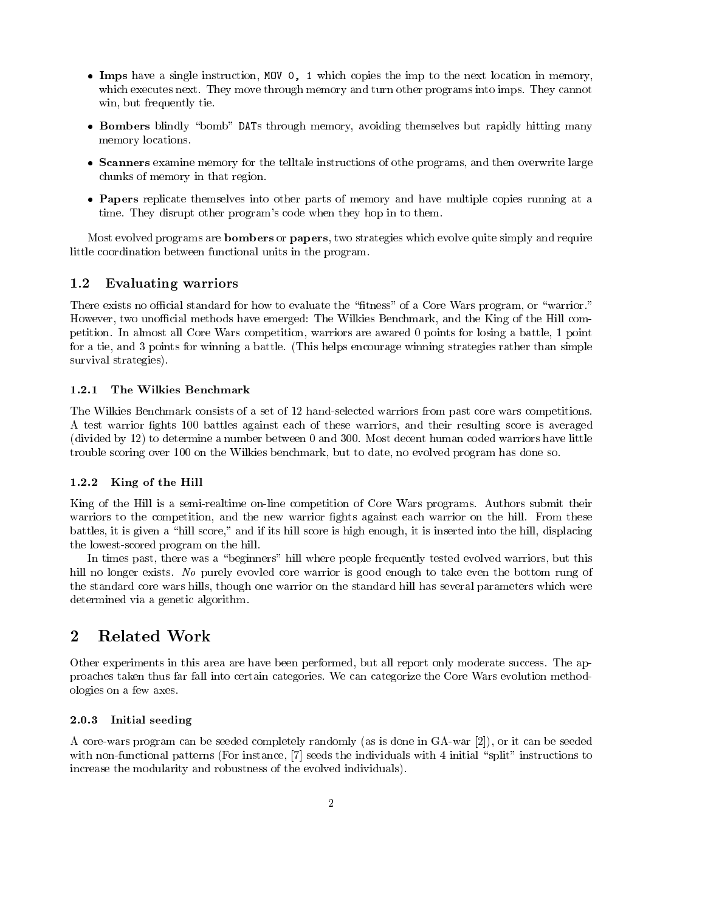- Imps have a single instruction, MOV 0, 1 which copies the imp to the next location in memory, which executes next. They move through memory and turn other programs into imps. They cannot win, but frequently tie.
- Bombers blindly "bomb" DATs through memory, avoiding themselves but rapidly hitting many memory locations.
- Scanners examine memory for the telltale instructions of othe programs, and then overwrite large chunks of memory in that region.
- Papers replicate themselves into other parts of memory and have multiple copies running at a time. They disrupt other program's code when they hop in to them.

Most evolved programs are bombers or papers, two strategies which evolve quite simply and require little coordination between functional units in the program.

#### $1.2$ Evaluating warriors

There exists no official standard for how to evaluate the "fitness" of a Core Wars program, or "warrior." However, two unofficial methods have emerged: The Wilkies Benchmark, and the King of the Hill competition. In almost all Core Wars competition, warriors are awared 0 points for losing a battle, 1 point for a tie, and 3 points for winning a battle. (This helps encourage winning strategies rather than simple survival strategies).

The Wilkies Benchmark consists of a set of 12 hand-selected warriors from past core wars competitions. A test warrior fights 100 battles against each of these warriors, and their resulting score is averaged (divided by 12) to determine a number between 0 and 300. Most decent human coded warriors have little trouble scoring over 100 on the Wilkies benchmark, but to date, no evolved program has done so.

## 1.2.2 King of the Hill

King of the Hill is a semi-realtime on-line competition of Core Wars programs. Authors submit their warriors to the competition, and the new warrior fights against each warrior on the hill. From these battles, it is given a \hill score," and if its hill score is high enough, it is inserted into the hill, displacing the lowest-scored program on the hill.

In times past, there was a "beginners" hill where people frequently tested evolved warriors, but this hill no longer exists. No purely evovled core warrior is good enough to take even the bottom rung of the standard core wars hills, though one warrior on the standard hill has several parameters which were determined via a genetic algorithm.

Other experiments in this area are have been performed, but all report only moderate success. The approaches taken thus far fall into certain categories. We can categorize the Core Wars evolution methodologies on a few axes.

### 2.0.3 Initial seeding

A core-wars program can be seeded completely randomly (as is done in GA-war [2]), or it can be seeded with non-functional patterns (For instance, [7] seeds the individuals with 4 initial "split" instructions to increase the modularity and robustness of the evolved individuals).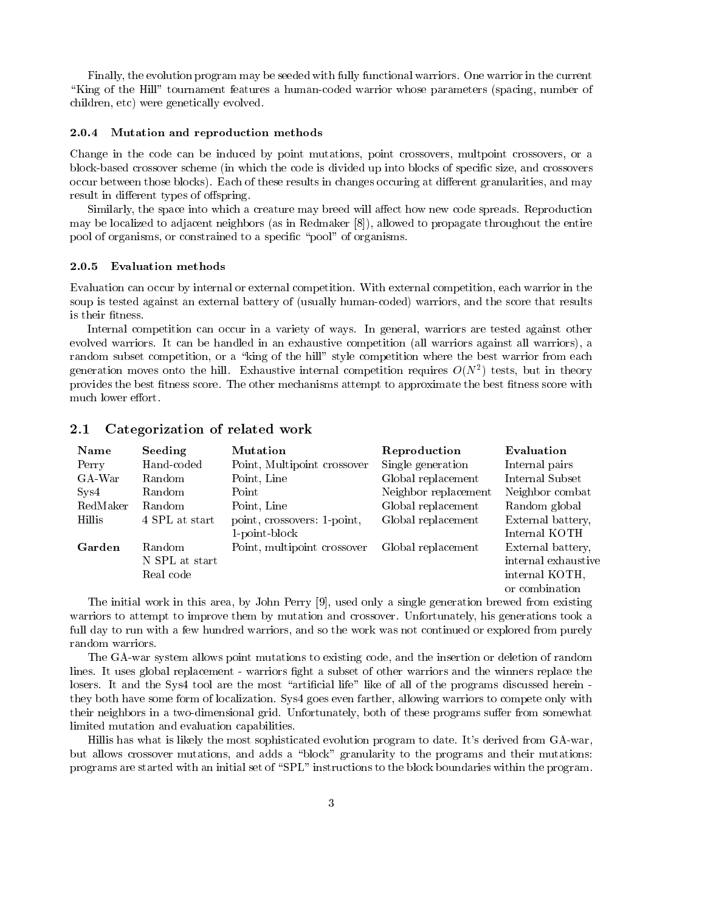Finally, the evolution program may be seeded with fully functional warriors. One warrior in the current "King of the Hill" tournament features a human-coded warrior whose parameters (spacing, number of children, etc) were genetically evolved.

### 2.0.4 Mutation and reproduction methods

Change in the code can be induced by point mutations, point crossovers, multpoint crossovers, or a block-based crossover scheme (in which the code is divided up into blocks of specic size, and crossovers occur between those blocks). Each of these results in changes occuring at different granularities, and may result in different types of offspring.

Similarly, the space into which a creature may breed will affect how new code spreads. Reproduction may be localized to adjacent neighbors (as in Redmaker [8]), allowed to propagate throughout the entire pool of organisms, or constrained to a specific "pool" of organisms.

### 2.0.5 Evaluation methods

Evaluation can occur by internal or external competition. With external competition, each warrior in the soup is tested against an external battery of (usually human-coded) warriors, and the score that results is their fitness.

Internal competition can occur in a variety of ways. In general, warriors are tested against other evolved warriors. It can be handled in an exhaustive competition (all warriors against all warriors), a random subset competition, or a "king of the hill" style competition where the best warrior from each generation moves onto the hill. Exhaustive internal competition requires O(N<sup>2</sup> ) tests, but in theory provides the best fitness score. The other mechanisms attempt to approximate the best fitness score with much lower effort.

| Name           | Seeding        | <b>Mutation</b>             | Reproduction         | Evaluation          |
|----------------|----------------|-----------------------------|----------------------|---------------------|
| Perry          | Hand-coded     | Point, Multipoint crossover | Single generation    | Internal pairs      |
| GA-War         | Random         | Point, Line                 | Global replacement   | Internal Subset     |
| $S_{\rm yS}$ 4 | Random         | Point                       | Neighbor replacement | Neighbor combat     |
| RedMaker       | Random         | Point, Line                 | Global replacement   | Random global       |
| Hillis         | 4 SPL at start | point, crossovers: 1-point, | Global replacement   | External battery,   |
|                |                | 1-point-block               |                      | Internal KOTH       |
| Garden         | Random         | Point, multipoint crossover | Global replacement   | External battery,   |
|                | N SPL at start |                             |                      | internal exhaustive |
|                | Real code      |                             |                      | internal KOTH,      |
|                |                |                             |                      | or combination      |

The initial work in this area, by John Perry [9], used only a single generation brewed from existing warriors to attempt to improve them by mutation and crossover. Unfortunately, his generations took a full day to run with a few hundred warriors, and so the work was not continued or explored from purely random warriors.

The GA-war system allows point mutations to existing code, and the insertion or deletion of random lines. It uses global replacement - warriors fight a subset of other warriors and the winners replace the losers. It and the Sys4 tool are the most "artificial life" like of all of the programs discussed herein they both have some form of localization. Sys4 goes even farther, allowing warriors to compete only with their neighbors in a two-dimensional grid. Unfortunately, both of these programs suffer from somewhat limited mutation and evaluation capabilities.

Hillis has what is likely the most sophisticated evolution program to date. It's derived from GA-war, but allows crossover mutations, and adds a \block" granularity to the programs and their mutations: programs are started with an initial set of "SPL" instructions to the block boundaries within the program.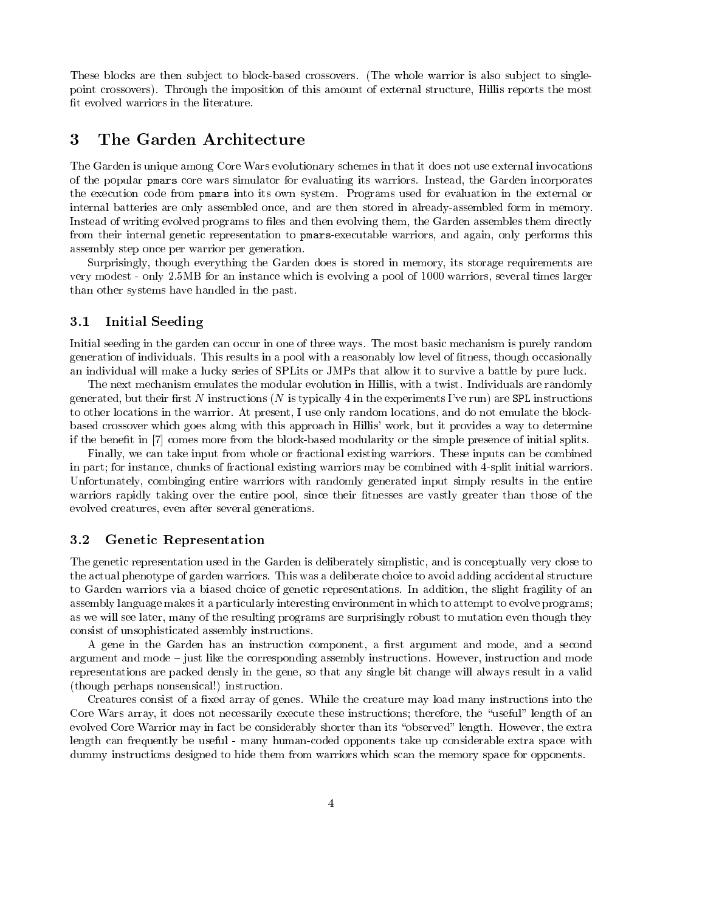These blocks are then subject to block-based crossovers. (The whole warrior is also subject to singlepoint crossovers). Through the imposition of this amount of external structure, Hillis reports the most fit evolved warriors in the literature.

# 3 The Garden Architecture

The Garden is unique among Core Wars evolutionary schemes in that it does not use external invocations of the popular pmars core wars simulator for evaluating its warriors. Instead, the Garden incorporates the execution code from pmars into its own system. Programs used for evaluation in the external or internal batteries are only assembled once, and are then stored in already-assembled form in memory. Instead of writing evolved programs to files and then evolving them, the Garden assembles them directly from their internal genetic representation to pmars-executable warriors, and again, only performs this assembly step once per warrior per generation.

Surprisingly, though everything the Garden does is stored in memory, its storage requirements are very modest - only 2.5MB for an instance which is evolving a pool of 1000 warriors, several times larger than other systems have handled in the past.

# 3.1 Initial Seeding

Initial seeding in the garden can occur in one of three ways. The most basic mechanism is purely random generation of individuals. This results in a pool with a reasonably low level of tness, though occasionally an individual will make a lucky series of SPLits or JMPs that allow it to survive a battle by pure luck.

The next mechanism emulates the modular evolution in Hillis, with a twist. Individuals are randomly generated, but their first  $N$  instructions ( $N$  is typically 4 in the experiments I've run) are SPL instructions to other locations in the warrior. At present, I use only random locations, and do not emulate the blockbased crossover which goes along with this approach in Hillis' work, but it provides a way to determine if the benet in [7] comes more from the block-based modularity or the simple presence of initial splits.

Finally, we can take input from whole or fractional existing warriors. These inputs can be combined in part; for instance, chunks of fractional existing warriors may be combined with 4-split initial warriors. Unfortunately, combinging entire warriors with randomly generated input simply results in the entire warriors rapidly taking over the entire pool, since their fitnesses are vastly greater than those of the evolved creatures, even after several generations.

#### $3.2$ Genetic Representation

The genetic representation used in the Garden is deliberately simplistic, and is conceptually very close to the actual phenotype of garden warriors. This was a deliberate choice to avoid adding accidental structure to Garden warriors via a biased choice of genetic representations. In addition, the slight fragility of an assembly language makes it a particularly interesting environment in which to attempt to evolve programs; as we will see later, many of the resulting programs are surprisingly robust to mutation even though they consist of unsophisticated assembly instructions.

A gene in the Garden has an instruction component, a first argument and mode, and a second argument and mode – just like the corresponding assembly instructions. However, instruction and mode representations are packed densly in the gene, so that any single bit change will always result in a valid (though perhaps nonsensical!) instruction.

Creatures consist of a fixed array of genes. While the creature may load many instructions into the Core Wars array, it does not necessarily execute these instructions; therefore, the "useful" length of an evolved Core Warrior may in fact be considerably shorter than its "observed" length. However, the extra length can frequently be useful - many human-coded opponents take up considerable extra space with dummy instructions designed to hide them from warriors which scan the memory space for opponents.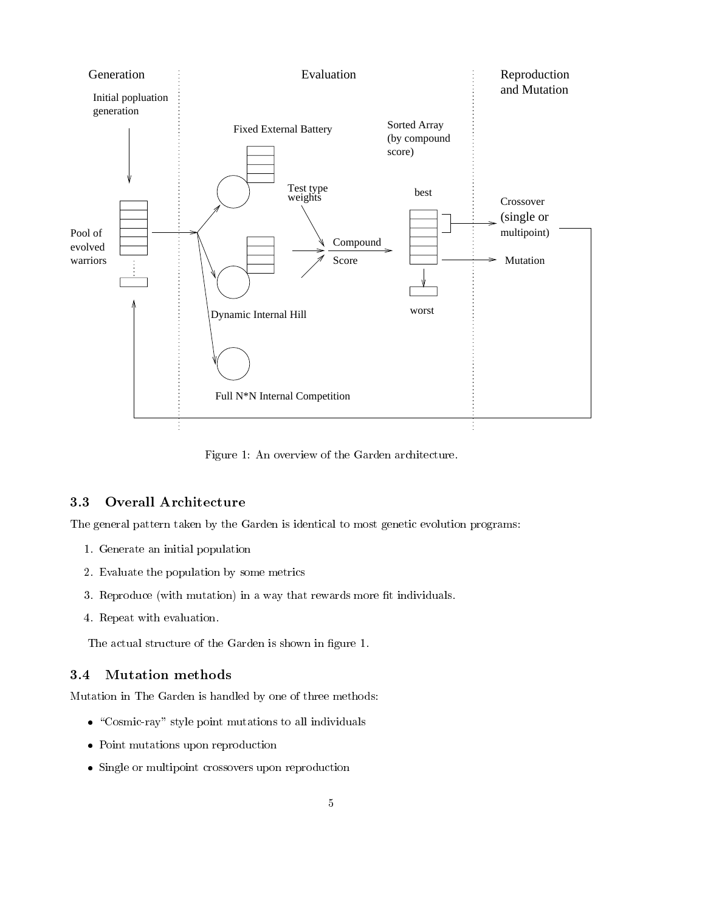

Figure 1: An overview of the Garden architecture.

# 3.3 Overall Architecture

The general pattern taken by the Garden is identical to most genetic evolution programs:

- 1. Generate an initial population
- 2. Evaluate the population by some metrics
- 3. Reproduce (with mutation) in a way that rewards more fit individuals.
- 4. Repeat with evaluation.

The actual structure of the Garden is shown in figure 1.

#### 3.4 **Mutation** methods

Mutation in The Garden is handled by one of three methods:

- $\bullet$  "Cosmic-ray" style point mutations to all individuals
- Point mutations upon reproduction
- Single or multipoint crossovers upon reproduction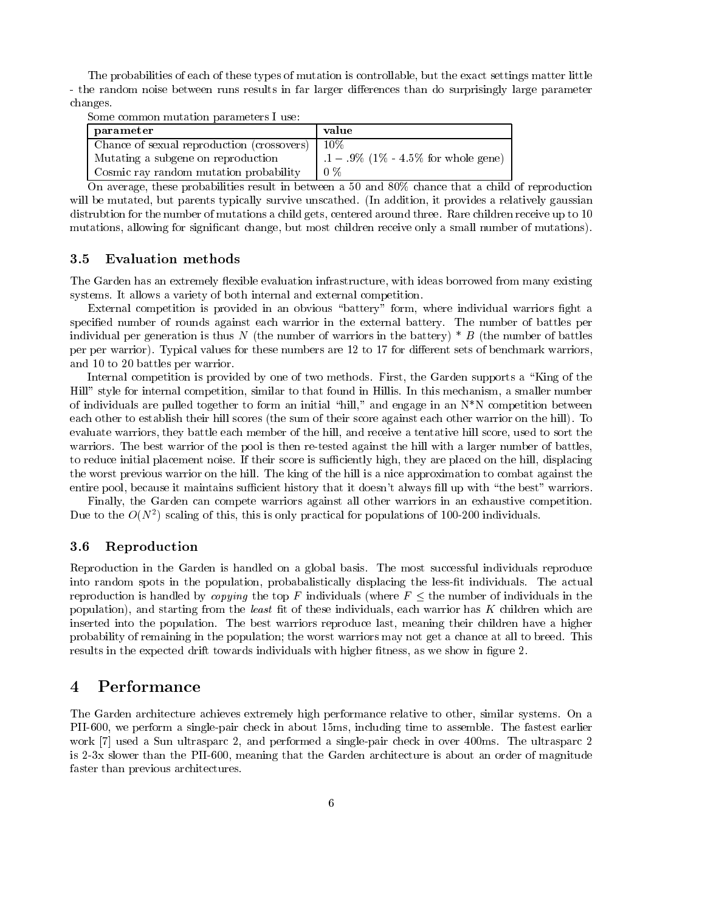The probabilities of each of these types of mutation is controllable, but the exact settings matter little - the random noise between runs results in far larger differences than do surprisingly large parameter changes.

Some common mutation parameters I use:

| parameter                                  | value                                |
|--------------------------------------------|--------------------------------------|
| Chance of sexual reproduction (crossovers) | -10%                                 |
| Mutating a subgene on reproduction         | $1 - 9\%$ (1% - 4.5% for whole gene) |
| Cosmic ray random mutation probability     | $0\%$                                |

On average, these probabilities result in between a 50 and 80% chance that a child of reproduction will be mutated, but parents typically survive unscathed. (In addition, it provides a relatively gaussian distrubtion for the number of mutations a child gets, centered around three. Rare children receive up to 10 mutations, allowing for signicant change, but most children receive only a small number of mutations).

#### 3.5 Evaluation methods

The Garden has an extremely flexible evaluation infrastructure, with ideas borrowed from many existing systems. It allows a variety of both internal and external competition.

External competition is provided in an obvious "battery" form, where individual warriors fight a specied number of rounds against each warrior in the external battery. The number of battles per individual per generation is thus N (the number of warriors in the battery)  $*$  B (the number of battles per per warrior). Typical values for these numbers are 12 to 17 for different sets of benchmark warriors, and 10 to 20 battles per warrior.

Internal competition is provided by one of two methods. First, the Garden supports a "King of the Hill" style for internal competition, similar to that found in Hillis. In this mechanism, a smaller number of individuals are pulled together to form an initial "hill," and engage in an N\*N competition between each other to establish their hill scores (the sum of their score against each other warrior on the hill). To evaluate warriors, they battle each member of the hill, and receive a tentative hill score, used to sort the warriors. The best warrior of the pool is then re-tested against the hill with a larger number of battles, to reduce initial placement noise. If their score is sufficiently high, they are placed on the hill, displacing the worst previous warrior on the hill. The king of the hill is a nice approximation to combat against the entire pool, because it maintains sufficient history that it doesn't always fill up with "the best" warriors.

Finally, the Garden can compete warriors against all other warriors in an exhaustive competition. Due to the  $O(N^2)$  scaling of this, this is only practical for populations of 100-200 individuals.

# 3.6 Reproduction

Reproduction in the Garden is handled on a global basis. The most successful individuals reproduce into random spots in the population, probabalistically displacing the less-fit individuals. The actual reproduction is handled by *copying* the top F individuals (where  $F \n\t\leq$  the number of individuals in the population), and starting from the least fit of these individuals, each warrior has  $K$  children which are inserted into the population. The best warriors reproduce last, meaning their children have a higher probability of remaining in the population; the worst warriors may not get a chance at all to breed. This results in the expected drift towards individuals with higher fitness, as we show in figure 2.

# 4 Performance

The Garden architecture achieves extremely high performance relative to other, similar systems. On a PII-600, we perform a single-pair check in about 15ms, including time to assemble. The fastest earlier work [7] used a Sun ultrasparc 2, and performed a single-pair check in over 400ms. The ultrasparc 2 is 2-3x slower than the PII-600, meaning that the Garden architecture is about an order of magnitude faster than previous architectures.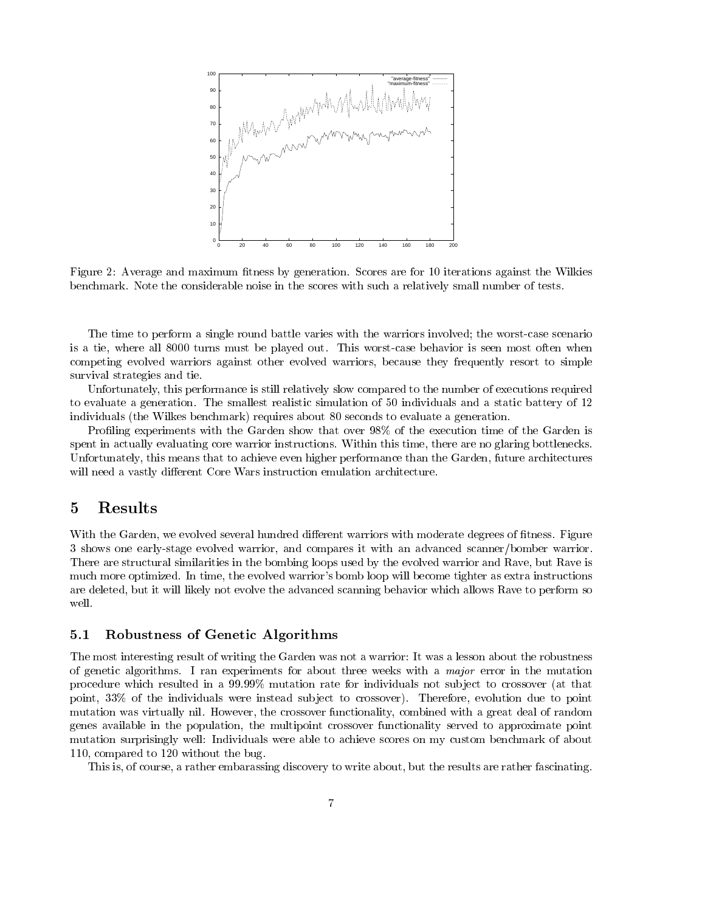

Figure 2: Average and maximum fitness by generation. Scores are for 10 iterations against the Wilkies benchmark. Note the considerable noise in the scores with such a relatively small number of tests.

The time to perform a single round battle varies with the warriors involved; the worst-case scenario is a tie, where all 8000 turns must be played out. This worst-case behavior is seen most often when competing evolved warriors against other evolved warriors, because they frequently resort to simple survival strategies and tie.

Unfortunately, this performance is still relatively slow compared to the number of executions required to evaluate a generation. The smallest realistic simulation of 50 individuals and a static battery of 12 individuals (the Wilkes benchmark) requires about 80 seconds to evaluate a generation.

Profiling experiments with the Garden show that over 98% of the execution time of the Garden is spent in actually evaluating core warrior instructions. Within this time, there are no glaring bottlenecks. Unfortunately, this means that to achieve even higher performance than the Garden, future architectures will need a vastly different Core Wars instruction emulation architecture.

# 5 Results

With the Garden, we evolved several hundred different warriors with moderate degrees of fitness. Figure 3 shows one early-stage evolved warrior, and compares it with an advanced scanner/bomber warrior. There are structural similarities in the bombing loops used by the evolved warrior and Rave, but Rave is much more optimized. In time, the evolved warrior's bomb loop will become tighter as extra instructions are deleted, but it will likely not evolve the advanced scanning behavior which allows Rave to perform so well.

# 5.1 Robustness of Genetic Algorithms

The most interesting result of writing the Garden was not a warrior: It was a lesson about the robustness of genetic algorithms. I ran experiments for about three weeks with a major error in the mutation procedure which resulted in a 99:99% mutation rate for individuals not sub ject to crossover (at that point, 33% of the individuals were instead subject to crossover). Therefore, evolution due to point mutation was virtually nil. However, the crossover functionality, combined with a great deal of random genes available in the population, the multipoint crossover functionality served to approximate point mutation surprisingly well: Individuals were able to achieve scores on my custom benchmark of about 110, compared to 120 without the bug.

This is, of course, a rather embarassing discovery to write about, but the results are rather fascinating.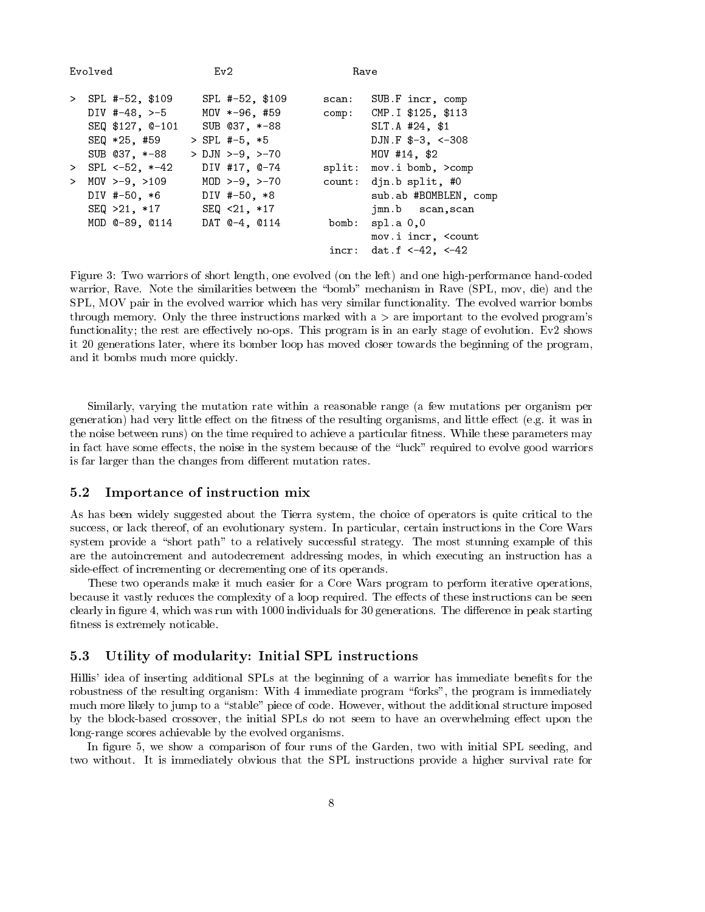| Evolved |                     | Ev2                     | Rave  |                                     |
|---------|---------------------|-------------------------|-------|-------------------------------------|
| $\geq$  | SPL #-52, \$109     | $SPL$ #-52, \$109       | scan: | SUB.F incr, comp                    |
|         | DIV #-48, $> -5$    | MOV *-96, #59           |       | comp: CMP. I \$125, \$113           |
|         | SEQ \$127, 0-101    | SUB 037, *-88           |       | SLT.A #24, \$1                      |
|         | SEQ *25, #59        | > SPL #-5, *5           |       | DJN.F $$-3, <-308$                  |
|         | SUB 037, *-88       | $>$ DJN $>$ -9, $>$ -70 |       | MOV #14, \$2                        |
| $\geq$  | $SPL < -52, *-42$   | DIV #17, @-74           |       | split: mov.i bomb, >comp            |
| $\geq$  | $MOV > -9$ , $>109$ | $MOD > -9, >-70$        |       | count: djn.b split, #0              |
|         | DIV #-50, *6        | DIV #-50, *8            |       | sub.ab #BOMBLEN, comp               |
|         | SEQ >21, *17        | $SEQ < 21$ , $*17$      |       | jmn.b scan, scan                    |
|         | MOD 0-89, 0114      | DAT 0-4, 0114           | bomb: | spl.a $0,0$                         |
|         |                     |                         |       | mov.i incr, <count< td=""></count<> |
|         |                     |                         | incr: | dat.f <-42, <-42                    |

Figure 3: Two warriors of short length, one evolved (on the left) and one high-performance hand-coded warrior, Rave. Note the similarities between the "bomb" mechanism in Rave (SPL, mov, die) and the SPL, MOV pair in the evolved warrior which has very similar functionality. The evolved warrior bombs through memory. Only the three instructions marked with  $a >$  are important to the evolved program's functionality; the rest are effectively no-ops. This program is in an early stage of evolution. Ev2 shows it 20 generations later, where its bomber loop has moved closer towards the beginning of the program, and it bombs much more quickly.

Similarly, varying the mutation rate within a reasonable range (a few mutations per organism per generation) had very little effect on the fitness of the resulting organisms, and little effect (e.g. it was in the noise between runs) on the time required to achieve a particular fitness. While these parameters may in fact have some effects, the noise in the system because of the "luck" required to evolve good warriors is far larger than the changes from different mutation rates.

# 5.2 Importance of instruction mix

As has been widely suggested about the Tierra system, the choice of operators is quite critical to the success, or lack thereof, of an evolutionary system. In particular, certain instructions in the Core Wars system provide a "short path" to a relatively successful strategy. The most stunning example of this are the autoincrement and autodecrement addressing modes, in which executing an instruction has a side-effect of incrementing or decrementing one of its operands.

These two operands make it much easier for a Core Wars program to perform iterative operations, because it vastly reduces the complexity of a loop required. The effects of these instructions can be seen clearly in figure 4, which was run with 1000 individuals for 30 generations. The difference in peak starting fitness is extremely noticable.

# 5.3 Utility of modularity: Initial SPL instructions

Hillis' idea of inserting additional SPLs at the beginning of a warrior has immediate benefits for the robustness of the resulting organism: With 4 immediate program "forks", the program is immediately much more likely to jump to a "stable" piece of code. However, without the additional structure imposed by the block-based crossover, the initial SPLs do not seem to have an overwhelming effect upon the long-range scores achievable by the evolved organisms.

In figure 5, we show a comparison of four runs of the Garden, two with initial SPL seeding, and two without. It is immediately obvious that the SPL instructions provide a higher survival rate for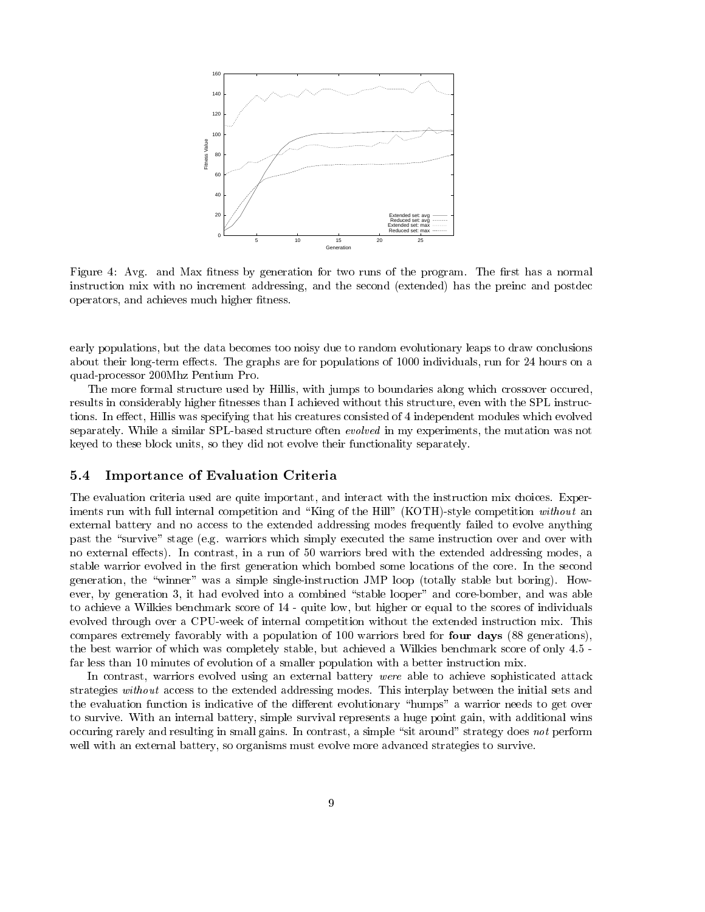

Figure 4: Avg. and Max fitness by generation for two runs of the program. The first has a normal instruction mix with no increment addressing, and the second (extended) has the preinc and postdec operators, and achieves much higher fitness.

early populations, but the data becomes too noisy due to random evolutionary leaps to draw conclusions about their long-term effects. The graphs are for populations of 1000 individuals, run for 24 hours on a quad-processor 200Mhz Pentium Pro.

The more formal structure used by Hillis, with jumps to boundaries along which crossover occured, results in considerably higher fitnesses than I achieved without this structure, even with the SPL instructions. In effect, Hillis was specifying that his creatures consisted of 4 independent modules which evolved separately. While a similar SPL-based structure often *evolved* in my experiments, the mutation was not keyed to these block units, so they did not evolve their functionality separately.

# 5.4 Importance of Evaluation Criteria

The evaluation criteria used are quite important, and interact with the instruction mix choices. Experiments run with full internal competition and "King of the Hill" (KOTH)-style competition without an external battery and no access to the extended addressing modes frequently failed to evolve anything past the "survive" stage (e.g. warriors which simply executed the same instruction over and over with no external effects). In contrast, in a run of 50 warriors bred with the extended addressing modes, a stable warrior evolved in the first generation which bombed some locations of the core. In the second generation, the "winner" was a simple single-instruction JMP loop (totally stable but boring). However, by generation 3, it had evolved into a combined "stable looper" and core-bomber, and was able to achieve a Wilkies benchmark score of 14 - quite low, but higher or equal to the scores of individuals evolved through over a CPU-week of internal competition without the extended instruction mix. This compares extremely favorably with a population of 100 warriors bred for four days (88 generations), the best warrior of which was completely stable, but achieved a Wilkies benchmark score of only 4.5 far less than 10 minutes of evolution of a smaller population with a better instruction mix.

In contrast, warriors evolved using an external battery were able to achieve sophisticated attack strategies without access to the extended addressing modes. This interplay between the initial sets and the evaluation function is indicative of the different evolutionary "humps" a warrior needs to get over to survive. With an internal battery, simple survival represents a huge point gain, with additional wins occuring rarely and resulting in small gains. In contrast, a simple "sit around" strategy does not perform well with an external battery, so organisms must evolve more advanced strategies to survive.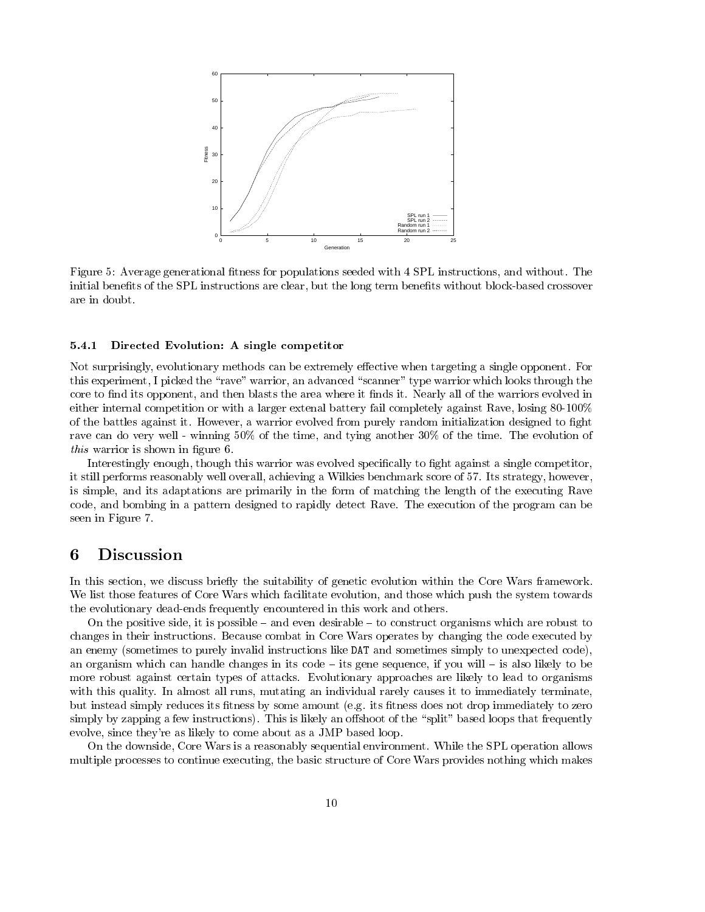

Figure 5: Average generational fitness for populations seeded with 4 SPL instructions, and without. The initial benefits of the SPL instructions are clear, but the long term benefits without block-based crossover are in doubt.

### 5.4.1 Directed Evolution: A single competitor

Not surprisingly, evolutionary methods can be extremely effective when targeting a single opponent. For this experiment, I picked the "rave" warrior, an advanced "scanner" type warrior which looks through the core to find its opponent, and then blasts the area where it finds it. Nearly all of the warriors evolved in either internal competition or with a larger extenal battery fail completely against Rave, losing 80-100% of the battles against it. However, a warrior evolved from purely random initialization designed to fight rave can do very well - winning 50% of the time, and tying another 30% of the time. The evolution of this warrior is shown in figure 6.

Interestingly enough, though this warrior was evolved specifically to fight against a single competitor, it still performs reasonably well overall, achieving a Wilkies benchmark score of 57. Its strategy, however, is simple, and its adaptations are primarily in the form of matching the length of the executing Rave code, and bombing in a pattern designed to rapidly detect Rave. The execution of the program can be seen in Figure 7.

#### 6 **Discussion**

In this section, we discuss briefly the suitability of genetic evolution within the Core Wars framework. We list those features of Core Wars which facilitate evolution, and those which push the system towards the evolutionary dead-ends frequently encountered in this work and others.

On the positive side, it is possible  $-\text{ and even desirable} - \text{to construct organisms which are robust to}$ changes in their instructions. Because combat in Core Wars operates by changing the code executed by an enemy (sometimes to purely invalid instructions like DAT and sometimes simply to unexpected code), an organism which can handle changes in its code  $-$  its gene sequence, if you will  $-$  is also likely to be more robust against certain types of attacks. Evolutionary approaches are likely to lead to organisms with this quality. In almost all runs, mutating an individual rarely causes it to immediately terminate, but instead simply reduces its fitness by some amount (e.g. its fitness does not drop immediately to zero simply by zapping a few instructions). This is likely an offshoot of the "split" based loops that frequently evolve, since they're as likely to come about as a JMP based loop.

On the downside, Core Wars is a reasonably sequential environment. While the SPL operation allows multiple processes to continue executing, the basic structure of Core Wars provides nothing which makes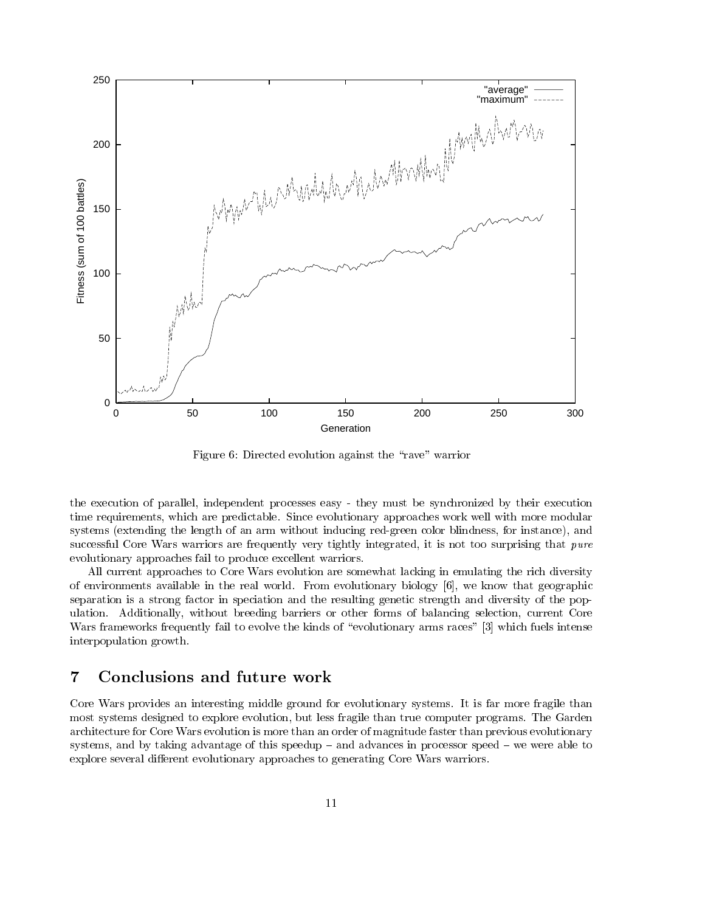

Figure 6: Directed evolution against the "rave" warrior

the execution of parallel, independent processes easy - they must be synchronized by their execution time requirements, which are predictable. Since evolutionary approaches work well with more modular systems (extending the length of an arm without inducing red-green color blindness, for instance), and successful Core Wars warriors are frequently very tightly integrated, it is not too surprising that *pure* evolutionary approaches fail to produce excellent warriors.

All current approaches to Core Wars evolution are somewhat lacking in emulating the rich diversity of environments available in the real world. From evolutionary biology [6], we know that geographic separation is a strong factor in speciation and the resulting genetic strength and diversity of the population. Additionally, without breeding barriers or other forms of balancing selection, current Core Wars frameworks frequently fail to evolve the kinds of "evolutionary arms races" [3] which fuels intense interpopulation growth.

# 7 Conclusions and future work

Core Wars provides an interesting middle ground for evolutionary systems. It is far more fragile than most systems designed to explore evolution, but less fragile than true computer programs. The Garden architecture for Core Wars evolution is more than an order of magnitude faster than previous evolutionary systems, and by taking advantage of this speedup  $-$  and advances in processor speed  $-$  we were able to explore several different evolutionary approaches to generating Core Wars warriors.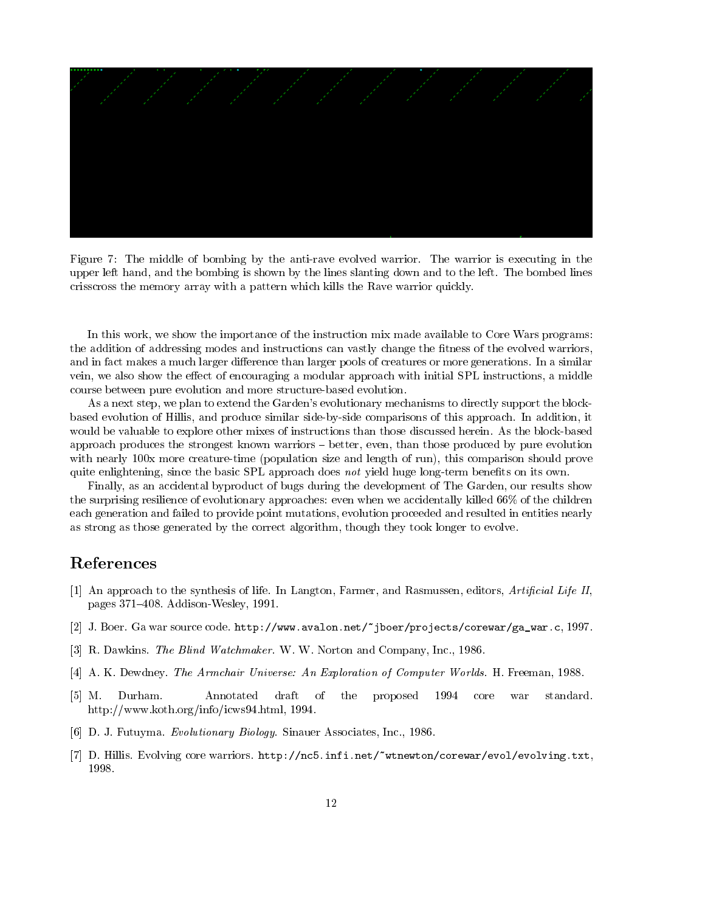

Figure 7: The middle of bombing by the anti-rave evolved warrior. The warrior is executing in the upper left hand, and the bombing is shown by the lines slanting down and to the left. The bombed lines crisscross the memory array with a pattern which kills the Rave warrior quickly.

In this work, we show the importance of the instruction mix made available to Core Wars programs: the addition of addressing modes and instructions can vastly change the fitness of the evolved warriors, and in fact makes a much larger difference than larger pools of creatures or more generations. In a similar vein, we also show the effect of encouraging a modular approach with initial SPL instructions, a middle course between pure evolution and more structure-based evolution.

As a next step, we plan to extend the Garden's evolutionary mechanisms to directly support the blockbased evolution of Hillis, and produce similar side-by-side comparisons of this approach. In addition, it would be valuable to explore other mixes of instructions than those discussed herein. As the block-based approach produces the strongest known warriors  $-$  better, even, than those produced by pure evolution with nearly 100x more creature-time (population size and length of run), this comparison should prove quite enlightening, since the basic SPL approach does not yield huge long-term benefits on its own.

Finally, as an accidental byproduct of bugs during the development of The Garden, our results show the surprising resilience of evolutionary approaches: even when we accidentally killed 66% of the children each generation and failed to provide point mutations, evolution proceeded and resulted in entities nearly as strong as those generated by the correct algorithm, though they took longer to evolve.

# References

- [1] An approach to the synthesis of life. In Langton, Farmer, and Rasmussen, editors, Artificial Life II, pages  $371-408$ . Addison-Wesley, 1991.
- [2] J. Boer. Ga war source code. http://www.avalon.net/~jboer/projects/corewar/ga\_war.c, 1997.
- [3] R. Dawkins. The Blind Watchmaker. W. W. Norton and Company, Inc., 1986.
- [4] A. K. Dewdney. The Armchair Universe: An Exploration of Computer Worlds. H. Freeman, 1988.
- [5] M. Durham. Annotated draft of the proposed 1994 core war standard. http://www.koth.org/info/icws94.html, 1994.
- [6] D. J. Futuyma. Evolutionary Biology. Sinauer Associates, Inc., 1986.
- [7] D. Hillis. Evolving core warriors. http://nc5.infi.net/~wtnewton/corewar/evol/evolving.txt, 1998.